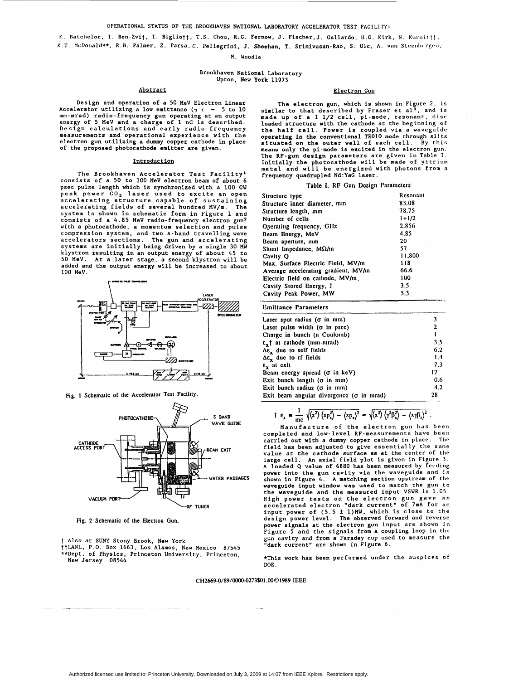K. Batchelor, I. Ben-Zvit, I. Bigliott, T.S. Chou, R.C. Fernow, J. Fischer,J. Gallardo, H.C. Kirk. N. Kurnittt. K.T. McDouald\*\*, R.B. Palmer, Z. Parsa.C. Pellegrini, J. Sheehan, T. Srinivasan-Rao, S. Ulc, A. van Steenbergen,

M. Woodle

# Brookhaven National Laboratory Upton, New York 11973

# Abstract

Design and operation of a *50* MeV Electron Linear Accelerator utilizing a low emittance  $(\gamma \epsilon - 5 \text{ to } 10$ mm-mrad) radio-frequency gun operating at an output energy of *5* MeV and a charge of 1 nC is described. Design calculations and early radio-frequency measurements and operational experience with the electron gun utilizing a dummy copper cathode in place of the proposed photocathode emitter are given.

# Introduction

The Brookhaven Accelerator Test Facility' consists of a 50 to 100 MeV electron beam of about 6 psec pulse length which is synchronized with a 100 GW peak power CO<sub>2</sub> laser used to excite an open accelerating structure capable of sustaining accelerating fields of several hundred MV/m. The system is shown in schematic form in Figure 1 and consists of a *4.85* MeV radio-frequency electron gun2 with a photocathode, a momentum selection and pulse compression system, and two s-band travelling wave accelerators sections. The gun and accelerating systems are initially being driven by a single 30 **MU**  klystron resulting in an output energy of about *45* to **50** MeV. At a later stage, a second klystron will be added and the output energy will be increased to about 100 MeV.



**Fig. 1 Schematic of the Acccleralor Test Facility.** 



**Fig. 2 Schematic** *of* **the Electron Gun.** 

t Also at **SUNY** Stony Brook, New York ttLANL, P.O. Box 1663, **Los** Alamos, New Mexico *87545*  \*\*Dept. of Physics, Princeton University, Princeton, New Jersey *<sup>08544</sup>*

### Electron Guq

The electron gun, which is shown in Figure 2. is similar to that described by Fraser et  $a1<sup>3</sup>$ , and is made up of a 1 1/2 cell, pi-mode, resonant, disc loaded structure with the cathode at the beginning of the half cell. Power is coupled via a waveguide operating in the conventional TEOlO mode through slits<br>situated on the outer wall of each cell. By this means only the pi-mode is excited in the electron gun. The RF-gun design parameters are given in Table I. Initially the photocathode will be made of yttrium metal and will be energized with photons from **a**  frequency quadrupled Nd:YaG laser.

# **Table I. RF Gun Design Parameters**

| Structure type                      | Resonant  |
|-------------------------------------|-----------|
| Structure inner diameter, mm        | 83.08     |
| Structure length, mm                | 78.75     |
| Number of cells                     | $1 + 1/2$ |
| Operating frequency, GHz            | 2.856     |
| Beam Energy, MeV                    | 4.85      |
| Beam aperture, mm                   | 20        |
| Shunt Impedance, $M\Omega/m$        | 57        |
| Cavity Q                            | 11,800    |
| Max. Surface Electric Field, MV/m   | 118       |
| Average accelerating gradient, MV/m | 66.6      |
| Electric field on cathode, MV/m.    | 100       |
| Cavity Stored Energy, J             | 3.5       |
| Cavity Peak Power, MW               | 5.3       |
|                                     |           |

# **Emittance Parameters**

| Laser spot radius (o in mm)                      |     |
|--------------------------------------------------|-----|
| Laser pulse width $(\sigma$ in psec)             | 2   |
| Charge in bunch (n Coulomb)                      |     |
| e <sub>r</sub> † at cathode (mm-mrad)            | 3.5 |
| $\Delta \varepsilon$ , due to self fields        | 6.2 |
| Δε, due to rf fields                             | 1.4 |
| $\varepsilon$ , at exit                          | 7.3 |
| Beam energy spread ( $\sigma$ in keV)            | 17  |
| Exit bunch length ( $\sigma$ in mm)              | 0.6 |
| Exit bunch radius (o in mm)                      | 4.2 |
| Exit beam angular divergence ( $\sigma$ in mrad) | 28  |

$$
\uparrow \varepsilon_x = \frac{1}{\mathrm{mc}} \sqrt{\langle x^2 \rangle \langle x p_x^2 \rangle - \langle x p_x \rangle^2} = \sqrt{\langle x^2 \rangle \langle \gamma^2 \beta_x^2 \rangle - \langle x \gamma \beta_x \rangle^2}.
$$

Manufacture of the electron gun has been completed and low-level RF-measurements have **been**  carried out with a dummy copper cathode in place. The field has been adjusted to give essentially the same field has been adjusted to give essentially the same<br>value at the cathode surface as at the center of the<br>large cell. An axial field plot is given in Figure 3. A loaded **Q** value of 6880 has been measured by **fetding**  power into the gun cavity via the waveguide and is shown in [Figure](#page-1-0) *4.* A matching section upstream of the waveguide input window was used to match the gun to the waveguide and the measured input VSWR is 1.05. High power tests on the electron gun gave **an**  accelerated electron "dark current" of **7mA** for en input power of *(5.5* **k** 1)MW. which is close to the design power level. The observed forward and reverse power signals at the electron gun input are shown in gun cavity and from a signals signal signal coupling loop in the gun cavity and from a Faraday cup used to measure the gap "dark current" are shown in [Figure 6.](#page-1-0)

\*This work has been performed under the auspices of DOE.

# **CH2669-0/89/0000-0273\$01.0001989 IEEE**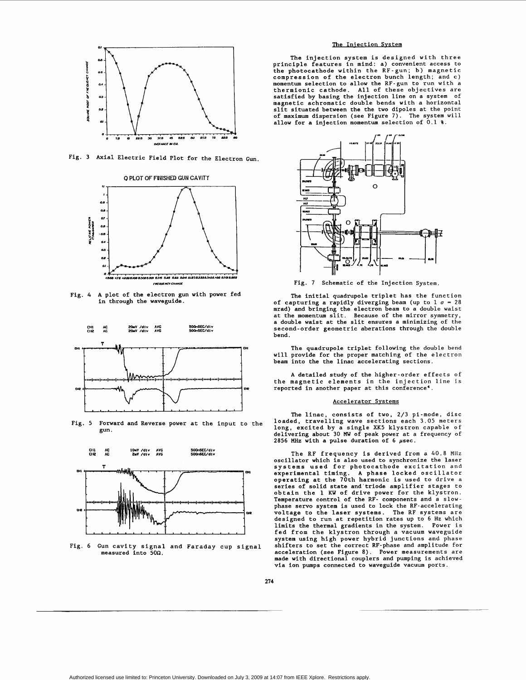<span id="page-1-0"></span>

Fig. **3** Axial Electric Field Plot for the Electron Gun.



Fig. 4 A plot of the electron gun with power fed in through the waveguide.



Fig. 5 Forward and Reverse power at the input to the gun.



Fig. 6 Gun cavity signal and Faraday cup signal measured into *500.* 

# The Injection System

The injection system is designed with three principle features in mind: a) convenient access to the photocathode within the RF-gun; b) magnetic compression of the electron bunch length; and c) momentum selection to allow the RF-gun to run with a thermionic cathode. All of these objectives are satisfied by basing the injection line on a system of magnetic achromatic double bends with a horizontal slit situated between the the two dipoles at the point of maximum dispersion (see Figure 7). The system will allow for a injection momentum selection of 0.1 %.



Fig. 7 Schematic of the Injection System.

The initial quadrupole triplet has the function of capturing a rapidly diverging beam (up to  $1 \sigma = 28$  mrad) and bringing the electron beam to a double waist at the momentum slit. Because of the mirror symmetry, a double waist at the slit ensures a minimizing of the second-order geometric aberations through the double bend.

The quadrupole triplet following the double bend will provide for the proper matching of the electron beam into the the linac accelerating sections.

A detailed study of the higher-order effects of the magnetic elements in the injection line is reported in another paper at this conference'.

# Accelerator Systems

The linac, consists of two, **2/3** pi-mode, disc loaded, travelling wave sections each 3.05 meters long, excited by a single XK5 klystron capable of delivering about 30 MW of peak power at a frequency of *2856* **MHz** with a pulse duration of *6* psec.

The RF frequency is derived from a 40.8 Mllz oscillator which is also used to synchronize the laser systems used for photocathode excitation and experimental timing. A phase locked oscillator operating at the 70th harmonic is used to drive a series of solid state and'triode amplifier stages to obtain the 1 KW of drive power for the klystron. Temperature control of the RF- components and a slowphase servo system is used to lock the RF-accelerating<br>voltage to the laser systems. The RF systems are designed to run at repetition rates up to 6 Hz which limits the thermal gradients in the system. Power is fed from the klystron through a vacuum waveguide system using high power hybrid junctions and phase shifters to set the correct RF-phase and amplitude for acceleration (see Figure *8).* Power measurements are made with directional couplers and pumping is achieved via ion pumps connected to waveguide vacuum ports.